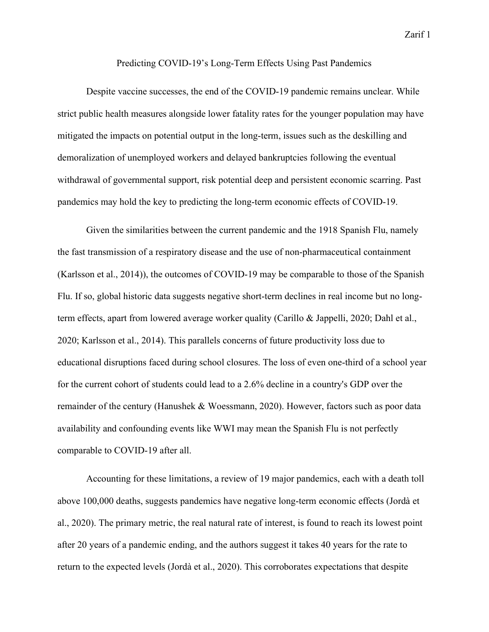Zarif 1

## Predicting COVID-19's Long-Term Effects Using Past Pandemics

Despite vaccine successes, the end of the COVID-19 pandemic remains unclear. While strict public health measures alongside lower fatality rates for the younger population may have mitigated the impacts on potential output in the long-term, issues such as the deskilling and demoralization of unemployed workers and delayed bankruptcies following the eventual withdrawal of governmental support, risk potential deep and persistent economic scarring. Past pandemics may hold the key to predicting the long-term economic effects of COVID-19.

Given the similarities between the current pandemic and the 1918 Spanish Flu, namely the fast transmission of a respiratory disease and the use of non-pharmaceutical containment (Karlsson et al., 2014)), the outcomes of COVID-19 may be comparable to those of the Spanish Flu. If so, global historic data suggests negative short-term declines in real income but no longterm effects, apart from lowered average worker quality (Carillo & Jappelli, 2020; Dahl et al., 2020; Karlsson et al., 2014). This parallels concerns of future productivity loss due to educational disruptions faced during school closures. The loss of even one-third of a school year for the current cohort of students could lead to a 2.6% decline in a country's GDP over the remainder of the century (Hanushek & Woessmann, 2020). However, factors such as poor data availability and confounding events like WWI may mean the Spanish Flu is not perfectly comparable to COVID-19 after all.

Accounting for these limitations, a review of 19 major pandemics, each with a death toll above 100,000 deaths, suggests pandemics have negative long-term economic effects (Jordà et al., 2020). The primary metric, the real natural rate of interest, is found to reach its lowest point after 20 years of a pandemic ending, and the authors suggest it takes 40 years for the rate to return to the expected levels (Jordà et al., 2020). This corroborates expectations that despite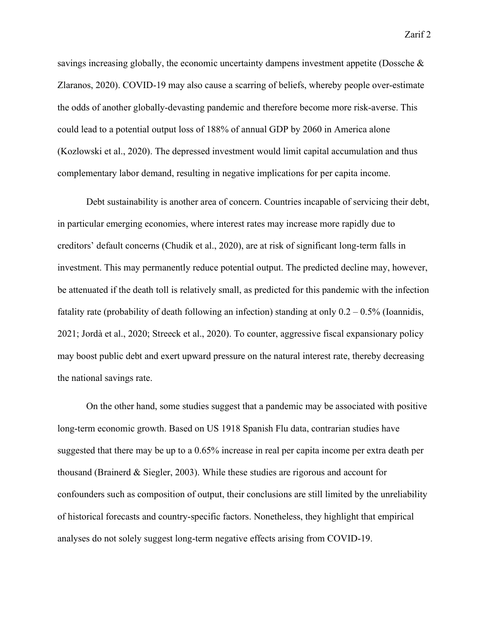savings increasing globally, the economic uncertainty dampens investment appetite (Dossche & Zlaranos, 2020). COVID-19 may also cause a scarring of beliefs, whereby people over-estimate the odds of another globally-devasting pandemic and therefore become more risk-averse. This could lead to a potential output loss of 188% of annual GDP by 2060 in America alone (Kozlowski et al., 2020). The depressed investment would limit capital accumulation and thus complementary labor demand, resulting in negative implications for per capita income.

Debt sustainability is another area of concern. Countries incapable of servicing their debt, in particular emerging economies, where interest rates may increase more rapidly due to creditors' default concerns (Chudik et al., 2020), are at risk of significant long-term falls in investment. This may permanently reduce potential output. The predicted decline may, however, be attenuated if the death toll is relatively small, as predicted for this pandemic with the infection fatality rate (probability of death following an infection) standing at only  $0.2 - 0.5\%$  (Ioannidis, 2021; Jordà et al., 2020; Streeck et al., 2020). To counter, aggressive fiscal expansionary policy may boost public debt and exert upward pressure on the natural interest rate, thereby decreasing the national savings rate.

On the other hand, some studies suggest that a pandemic may be associated with positive long-term economic growth. Based on US 1918 Spanish Flu data, contrarian studies have suggested that there may be up to a 0.65% increase in real per capita income per extra death per thousand (Brainerd & Siegler, 2003). While these studies are rigorous and account for confounders such as composition of output, their conclusions are still limited by the unreliability of historical forecasts and country-specific factors. Nonetheless, they highlight that empirical analyses do not solely suggest long-term negative effects arising from COVID-19.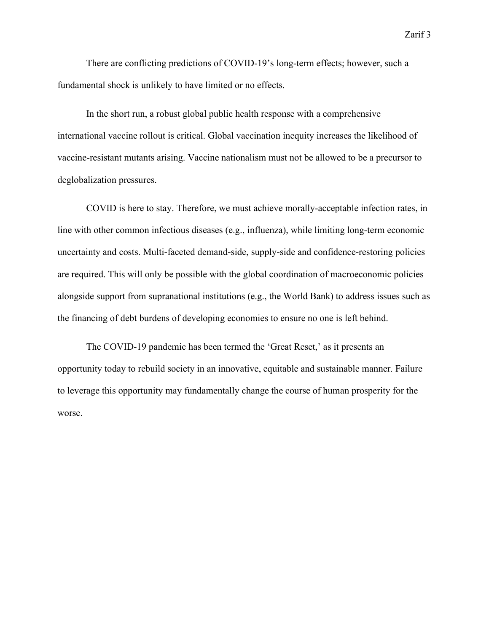There are conflicting predictions of COVID-19's long-term effects; however, such a fundamental shock is unlikely to have limited or no effects.

In the short run, a robust global public health response with a comprehensive international vaccine rollout is critical. Global vaccination inequity increases the likelihood of vaccine-resistant mutants arising. Vaccine nationalism must not be allowed to be a precursor to deglobalization pressures.

COVID is here to stay. Therefore, we must achieve morally-acceptable infection rates, in line with other common infectious diseases (e.g., influenza), while limiting long-term economic uncertainty and costs. Multi-faceted demand-side, supply-side and confidence-restoring policies are required. This will only be possible with the global coordination of macroeconomic policies alongside support from supranational institutions (e.g., the World Bank) to address issues such as the financing of debt burdens of developing economies to ensure no one is left behind.

The COVID-19 pandemic has been termed the 'Great Reset,' as it presents an opportunity today to rebuild society in an innovative, equitable and sustainable manner. Failure to leverage this opportunity may fundamentally change the course of human prosperity for the worse.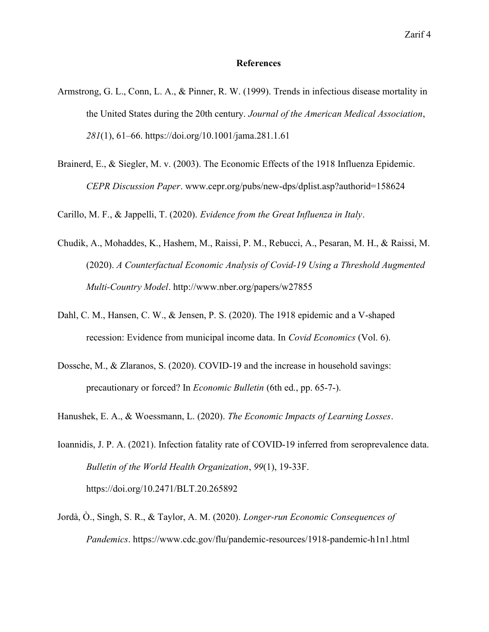## **References**

- Armstrong, G. L., Conn, L. A., & Pinner, R. W. (1999). Trends in infectious disease mortality in the United States during the 20th century. Journal of the American Medical Association, 281(1), 61–66. https://doi.org/10.1001/jama.281.1.61
- Brainerd, E., & Siegler, M. v. (2003). The Economic Effects of the 1918 Influenza Epidemic. CEPR Discussion Paper. www.cepr.org/pubs/new-dps/dplist.asp?authorid=158624

Carillo, M. F., & Jappelli, T. (2020). Evidence from the Great Influenza in Italy.

- Chudik, A., Mohaddes, K., Hashem, M., Raissi, P. M., Rebucci, A., Pesaran, M. H., & Raissi, M. (2020). A Counterfactual Economic Analysis of Covid-19 Using a Threshold Augmented Multi-Country Model. http://www.nber.org/papers/w27855
- Dahl, C. M., Hansen, C. W., & Jensen, P. S. (2020). The 1918 epidemic and a V-shaped recession: Evidence from municipal income data. In Covid Economics (Vol. 6).
- Dossche, M., & Zlaranos, S. (2020). COVID-19 and the increase in household savings: precautionary or forced? In Economic Bulletin (6th ed., pp. 65-7-).
- Hanushek, E. A., & Woessmann, L. (2020). The Economic Impacts of Learning Losses.
- Ioannidis, J. P. A. (2021). Infection fatality rate of COVID-19 inferred from seroprevalence data. Bulletin of the World Health Organization, 99(1), 19-33F. https://doi.org/10.2471/BLT.20.265892
- Jordà, Ò., Singh, S. R., & Taylor, A. M. (2020). Longer-run Economic Consequences of Pandemics. https://www.cdc.gov/flu/pandemic-resources/1918-pandemic-h1n1.html